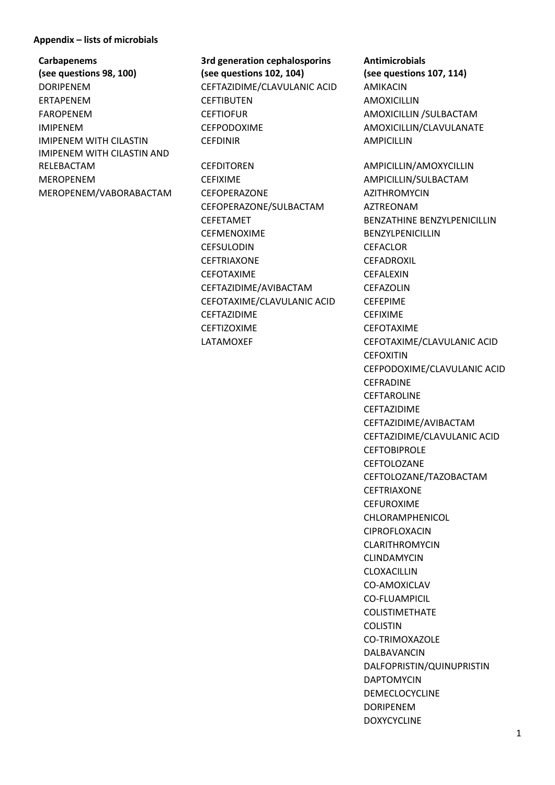## **Appendix – lists of microbials**

**Carbapenems (see questions 98, 100)** IMIPENEM WITH CILASTIN AND RELEBACTAM CEFDITOREN AMPICILLIN/AMOXYCILLIN MEROPENEM CEFIXIME CEFIXIME AMPICILLIN/SULBACTAM MEROPENEM/VABORABACTAM CEFOPERAZONE AZITHROMYCIN

**3rd generation cephalosporins (see questions 102, 104)** DORIPENEM CEFTAZIDIME/CLAVULANIC ACID AMIKACIN ERTAPENEM CEFTIBUTEN AMOXICILLIN FAROPENEM CEFTIOFUR CONTROL AMOXICILLIN /SULBACTAM IMIPENEM CEFPODOXIME AMOXICILLIN/CLAVULANATE IMIPENEM WITH CILASTIN CEFDINIR CONTROLLED AMPICILLIN

> CEFOPERAZONE/SULBACTAM AZTREONAM CEFETAMET BENZATHINE BENZYLPENICILLIN CEFMENOXIME BENZYLPENICILLIN CEFSULODIN CEFACLOR CEFTRIAXONE CEFADROXIL CEFOTAXIME CEFALEXIN CEFTAZIDIME/AVIBACTAM CEFAZOLIN CEFOTAXIME/CLAVULANIC ACID CEFEPIME CEFTAZIDIME CEFIXIME CEFTIZOXIME CEFOTAXIME

**Antimicrobials (see questions 107, 114)**

LATAMOXEF CEFOTAXIME/CLAVULANIC ACID **CEFOXITIN** CEFPODOXIME/CLAVULANIC ACID **CEFRADINE CEFTAROLINE** CEFTAZIDIME CEFTAZIDIME/AVIBACTAM CEFTAZIDIME/CLAVULANIC ACID **CEFTOBIPROLE CEFTOLOZANE** CEFTOLOZANE/TAZOBACTAM CEFTRIAXONE CEFUROXIME CHLORAMPHENICOL CIPROFLOXACIN CLARITHROMYCIN CLINDAMYCIN CLOXACILLIN CO-AMOXICLAV CO-FLUAMPICIL COLISTIMETHATE COLISTIN CO-TRIMOXAZOLE DALBAVANCIN DALFOPRISTIN/QUINUPRISTIN DAPTOMYCIN DEMECLOCYCLINE DORIPENEM DOXYCYCLINE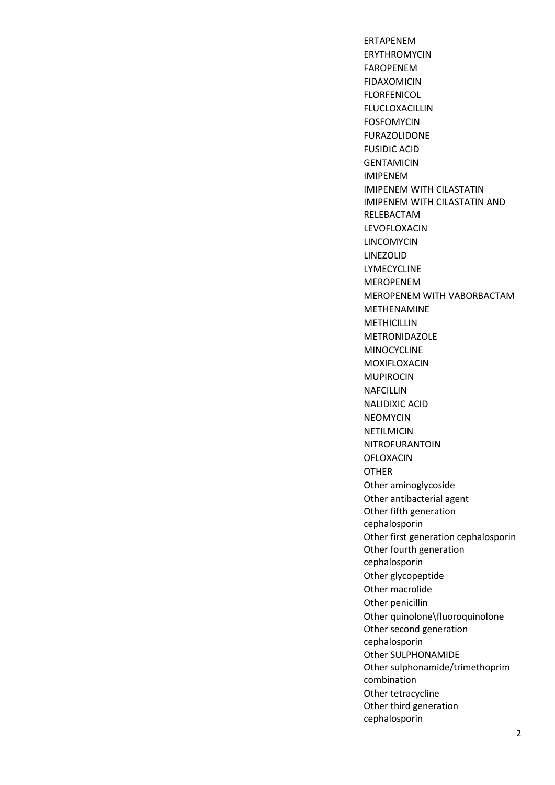ERTAPENEM ERYTHROMYCIN FAROPENEM FIDAXOMICIN FLORFENICOL FLUCLOXACILLIN FOSFOMYCIN FURAZOLIDONE FUSIDIC ACID **GENTAMICIN** IMIPENEM IMIPENEM WITH CILASTATIN IMIPENEM WITH CILASTATIN AND RELEBACTAM LEVOFLOXACIN LINCOMYCIN LINEZOLID LYMECYCLINE MEROPENEM MEROPENEM WITH VABORBACTAM METHENAMINE **METHICILLIN** METRONIDAZOLE MINOCYCLINE MOXIFLOXACIN MUPIROCIN NAFCILLIN NALIDIXIC ACID NEOMYCIN NETILMICIN NITROFURANTOIN OFLOXACIN OTHER Other aminoglycoside Other antibacterial agent Other fifth generation cephalosporin Other first generation cephalosporin Other fourth generation cephalosporin Other glycopeptide Other macrolide Other penicillin Other quinolone\fluoroquinolone Other second generation cephalosporin Other SULPHONAMIDE Other sulphonamide/trimethoprim combination Other tetracycline Other third generation cephalosporin